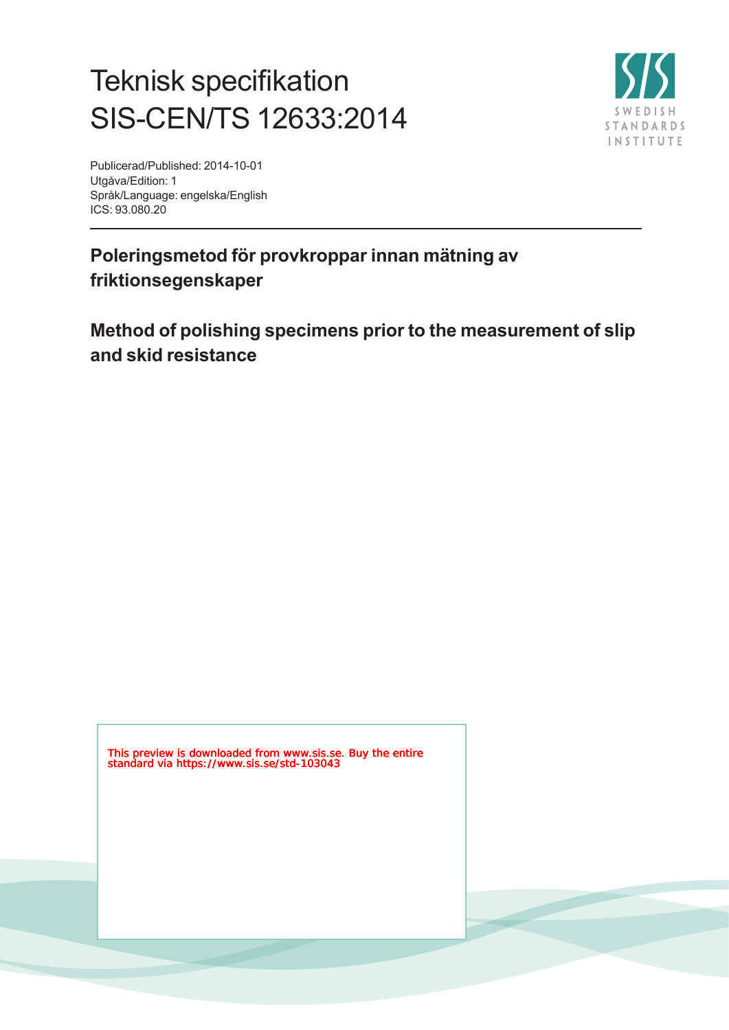# Teknisk specifikation SIS-CEN/TS 12633:2014



Publicerad/Published: 2014-10-01 Utgåva/Edition: 1 Språk/Language: engelska/English ICS: 93.080.20

## **Poleringsmetod för provkroppar innan mätning av friktionsegenskaper**

## **Method of polishing specimens prior to the measurement of slip and skid resistance**

This preview is downloaded from www.sis.se. Buy the entire standard via https://www.sis.se/std-103043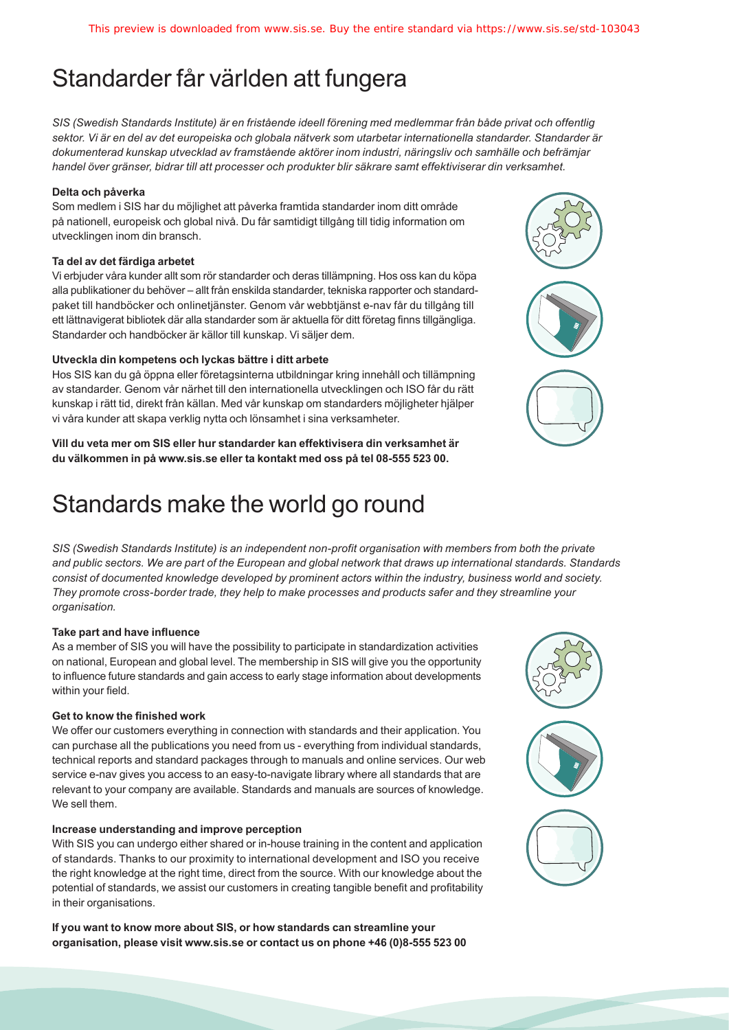## Standarder får världen att fungera

*SIS (Swedish Standards Institute) är en fristående ideell förening med medlemmar från både privat och offentlig sektor. Vi är en del av det europeiska och globala nätverk som utarbetar internationella standarder. Standarder är dokumenterad kunskap utvecklad av framstående aktörer inom industri, näringsliv och samhälle och befrämjar handel över gränser, bidrar till att processer och produkter blir säkrare samt effektiviserar din verksamhet.* 

#### **Delta och påverka**

Som medlem i SIS har du möjlighet att påverka framtida standarder inom ditt område på nationell, europeisk och global nivå. Du får samtidigt tillgång till tidig information om utvecklingen inom din bransch.

#### **Ta del av det färdiga arbetet**

Vi erbjuder våra kunder allt som rör standarder och deras tillämpning. Hos oss kan du köpa alla publikationer du behöver – allt från enskilda standarder, tekniska rapporter och standardpaket till handböcker och onlinetjänster. Genom vår webbtjänst e-nav får du tillgång till ett lättnavigerat bibliotek där alla standarder som är aktuella för ditt företag finns tillgängliga. Standarder och handböcker är källor till kunskap. Vi säljer dem.

#### **Utveckla din kompetens och lyckas bättre i ditt arbete**

Hos SIS kan du gå öppna eller företagsinterna utbildningar kring innehåll och tillämpning av standarder. Genom vår närhet till den internationella utvecklingen och ISO får du rätt kunskap i rätt tid, direkt från källan. Med vår kunskap om standarders möjligheter hjälper vi våra kunder att skapa verklig nytta och lönsamhet i sina verksamheter.

**Vill du veta mer om SIS eller hur standarder kan effektivisera din verksamhet är du välkommen in på www.sis.se eller ta kontakt med oss på tel 08-555 523 00.**

## Standards make the world go round

*SIS (Swedish Standards Institute) is an independent non-profit organisation with members from both the private and public sectors. We are part of the European and global network that draws up international standards. Standards consist of documented knowledge developed by prominent actors within the industry, business world and society. They promote cross-border trade, they help to make processes and products safer and they streamline your organisation.*

#### **Take part and have influence**

As a member of SIS you will have the possibility to participate in standardization activities on national, European and global level. The membership in SIS will give you the opportunity to influence future standards and gain access to early stage information about developments within your field.

#### **Get to know the finished work**

We offer our customers everything in connection with standards and their application. You can purchase all the publications you need from us - everything from individual standards, technical reports and standard packages through to manuals and online services. Our web service e-nav gives you access to an easy-to-navigate library where all standards that are relevant to your company are available. Standards and manuals are sources of knowledge. We sell them.

#### **Increase understanding and improve perception**

With SIS you can undergo either shared or in-house training in the content and application of standards. Thanks to our proximity to international development and ISO you receive the right knowledge at the right time, direct from the source. With our knowledge about the potential of standards, we assist our customers in creating tangible benefit and profitability in their organisations.

**If you want to know more about SIS, or how standards can streamline your organisation, please visit www.sis.se or contact us on phone +46 (0)8-555 523 00**



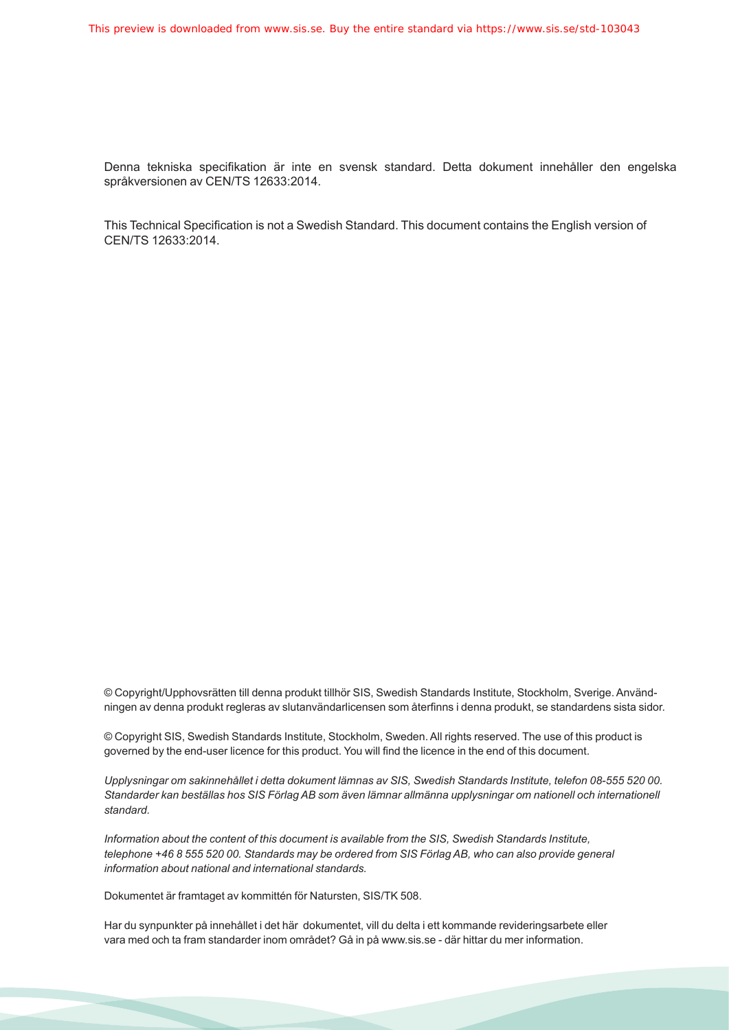Denna tekniska specifikation är inte en svensk standard. Detta dokument innehåller den engelska språkversionen av CEN/TS 12633:2014.

This Technical Specification is not a Swedish Standard. This document contains the English version of CEN/TS 12633:2014.

© Copyright/Upphovsrätten till denna produkt tillhör SIS, Swedish Standards Institute, Stockholm, Sverige. Användningen av denna produkt regleras av slutanvändarlicensen som återfinns i denna produkt, se standardens sista sidor.

© Copyright SIS, Swedish Standards Institute, Stockholm, Sweden. All rights reserved. The use of this product is governed by the end-user licence for this product. You will find the licence in the end of this document.

*Upplysningar om sakinnehållet i detta dokument lämnas av SIS, Swedish Standards Institute, telefon 08-555 520 00. Standarder kan beställas hos SIS Förlag AB som även lämnar allmänna upplysningar om nationell och internationell standard.*

*Information about the content of this document is available from the SIS, Swedish Standards Institute, telephone +46 8 555 520 00. Standards may be ordered from SIS Förlag AB, who can also provide general information about national and international standards.*

Dokumentet är framtaget av kommittén för Natursten, SIS/TK 508.

Har du synpunkter på innehållet i det här dokumentet, vill du delta i ett kommande revideringsarbete eller vara med och ta fram standarder inom området? Gå in på www.sis.se - där hittar du mer information.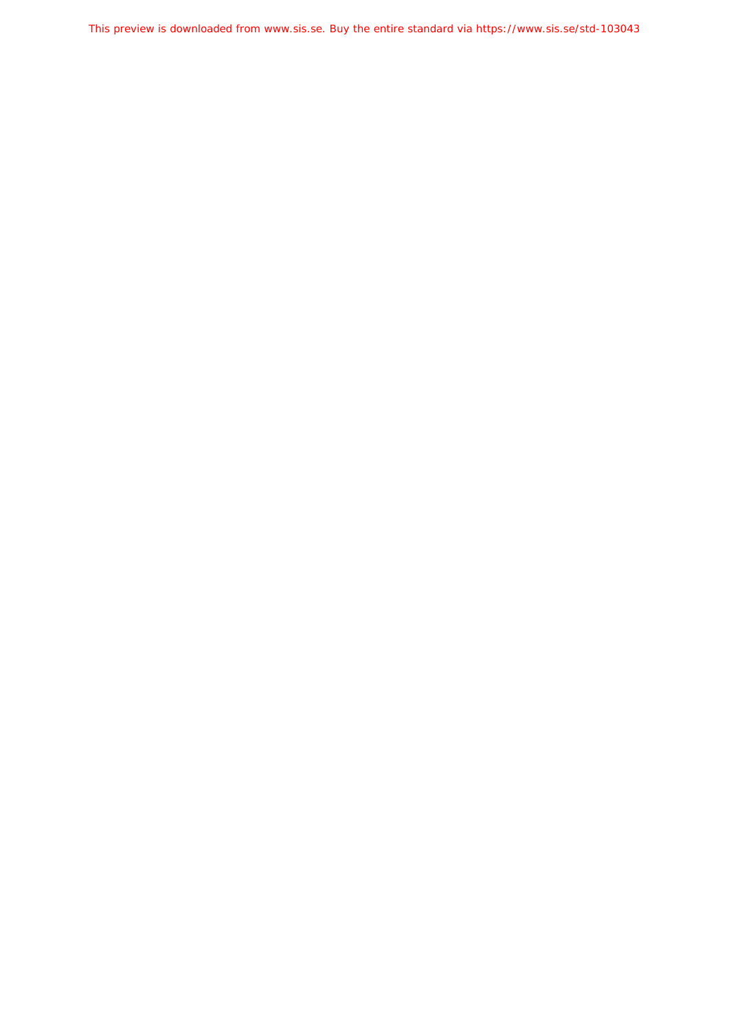This preview is downloaded from www.sis.se. Buy the entire standard via https://www.sis.se/std-103043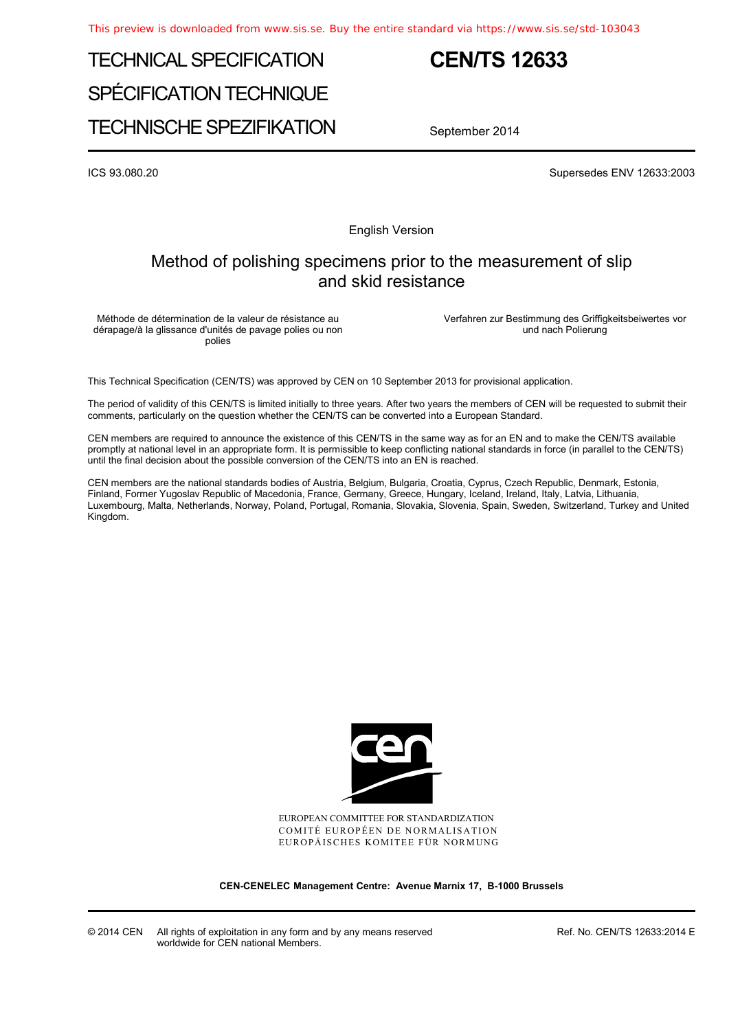## TECHNICAL SPECIFICATION SPÉCIFICATION TECHNIQUE TECHNISCHE SPEZIFIKATION

## **CEN/TS 12633**

September 2014

ICS 93.080.20 Supersedes ENV 12633:2003

English Version

## Method of polishing specimens prior to the measurement of slip and skid resistance

Méthode de détermination de la valeur de résistance au dérapage/à la glissance d'unités de pavage polies ou non polies

Verfahren zur Bestimmung des Griffigkeitsbeiwertes vor und nach Polierung

This Technical Specification (CEN/TS) was approved by CEN on 10 September 2013 for provisional application.

The period of validity of this CEN/TS is limited initially to three years. After two years the members of CEN will be requested to submit their comments, particularly on the question whether the CEN/TS can be converted into a European Standard.

CEN members are required to announce the existence of this CEN/TS in the same way as for an EN and to make the CEN/TS available promptly at national level in an appropriate form. It is permissible to keep conflicting national standards in force (in parallel to the CEN/TS) until the final decision about the possible conversion of the CEN/TS into an EN is reached.

CEN members are the national standards bodies of Austria, Belgium, Bulgaria, Croatia, Cyprus, Czech Republic, Denmark, Estonia, Finland, Former Yugoslav Republic of Macedonia, France, Germany, Greece, Hungary, Iceland, Ireland, Italy, Latvia, Lithuania, Luxembourg, Malta, Netherlands, Norway, Poland, Portugal, Romania, Slovakia, Slovenia, Spain, Sweden, Switzerland, Turkey and United Kingdom.



EUROPEAN COMMITTEE FOR STANDARDIZATION COMITÉ EUROPÉEN DE NORMALISATION EUROPÄISCHES KOMITEE FÜR NORMUNG

**CEN-CENELEC Management Centre: Avenue Marnix 17, B-1000 Brussels** 

Ref. No. CEN/TS 12633:2014 E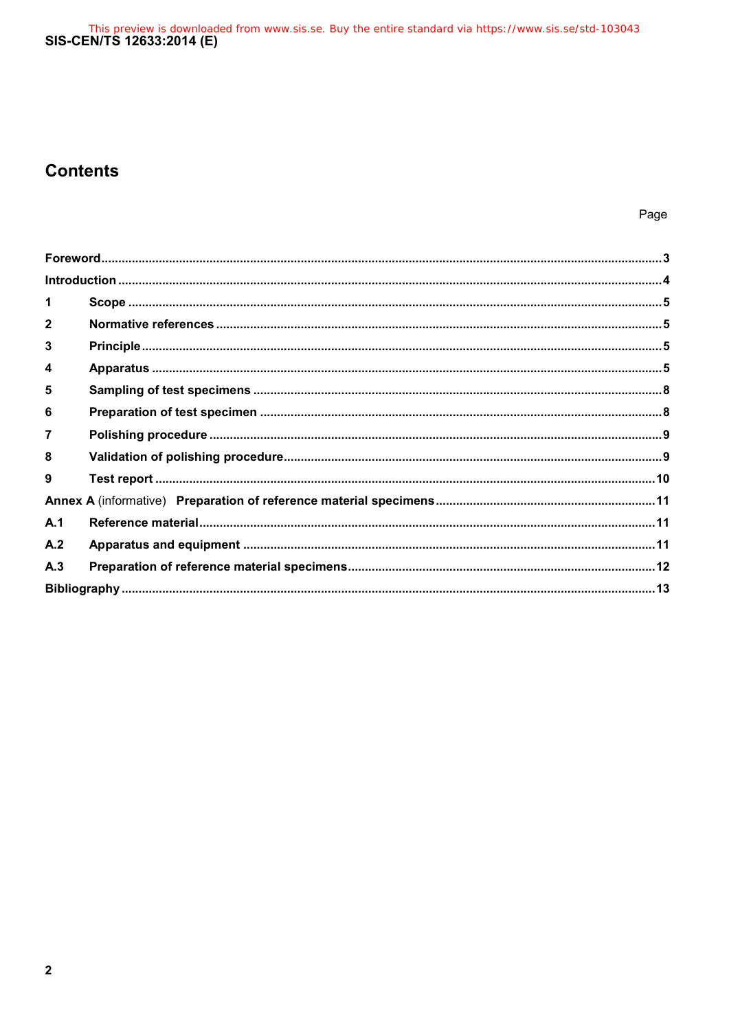This preview is downloaded from www.sis.se. Buy the entire standard via https://www.sis.se/std-103043<br>SIS-CEN/TS 12633:2014 (E)

## **Contents**

| 1                       |  |  |
|-------------------------|--|--|
| $\overline{2}$          |  |  |
| 3                       |  |  |
| $\overline{\mathbf{4}}$ |  |  |
| 5                       |  |  |
| 6                       |  |  |
| 7                       |  |  |
| 8                       |  |  |
| 9                       |  |  |
|                         |  |  |
| A.1                     |  |  |
| A.2                     |  |  |
| A.3                     |  |  |
|                         |  |  |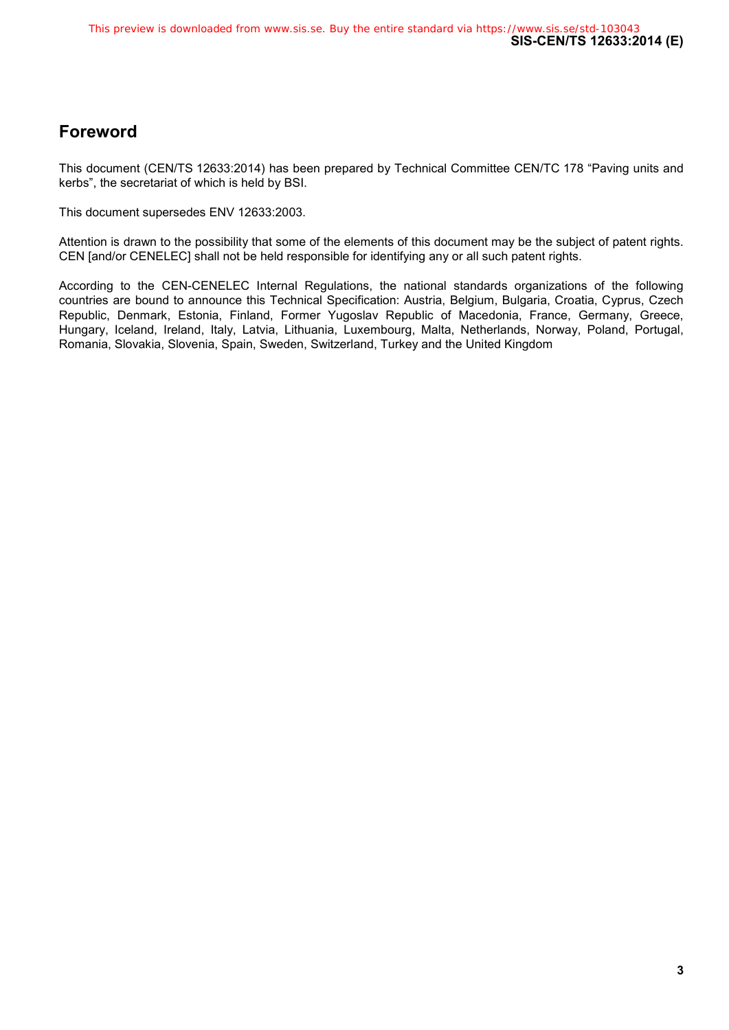## **Foreword**

This document (CEN/TS 12633:2014) has been prepared by Technical Committee CEN/TC 178 "Paving units and kerbs", the secretariat of which is held by BSI.

This document supersedes ENV 12633:2003.

Attention is drawn to the possibility that some of the elements of this document may be the subject of patent rights. CEN [and/or CENELEC] shall not be held responsible for identifying any or all such patent rights.

According to the CEN-CENELEC Internal Regulations, the national standards organizations of the following countries are bound to announce this Technical Specification: Austria, Belgium, Bulgaria, Croatia, Cyprus, Czech Republic, Denmark, Estonia, Finland, Former Yugoslav Republic of Macedonia, France, Germany, Greece, Hungary, Iceland, Ireland, Italy, Latvia, Lithuania, Luxembourg, Malta, Netherlands, Norway, Poland, Portugal, Romania, Slovakia, Slovenia, Spain, Sweden, Switzerland, Turkey and the United Kingdom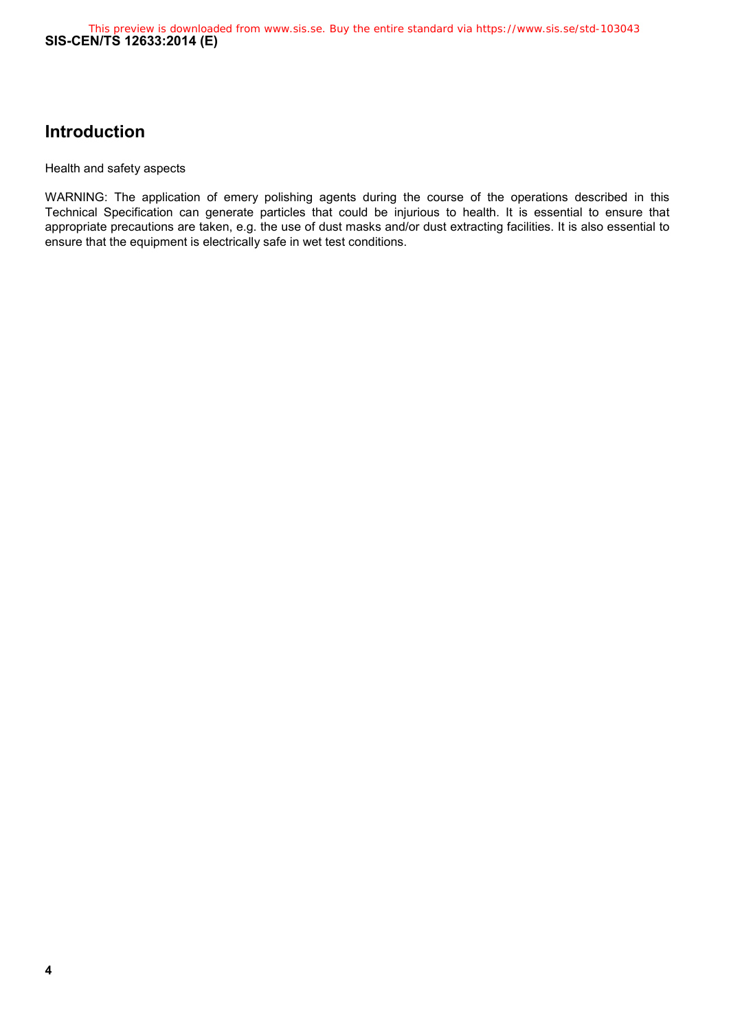## **Introduction**

Health and safety aspects

WARNING: The application of emery polishing agents during the course of the operations described in this Technical Specification can generate particles that could be injurious to health. It is essential to ensure that appropriate precautions are taken, e.g. the use of dust masks and/or dust extracting facilities. It is also essential to ensure that the equipment is electrically safe in wet test conditions.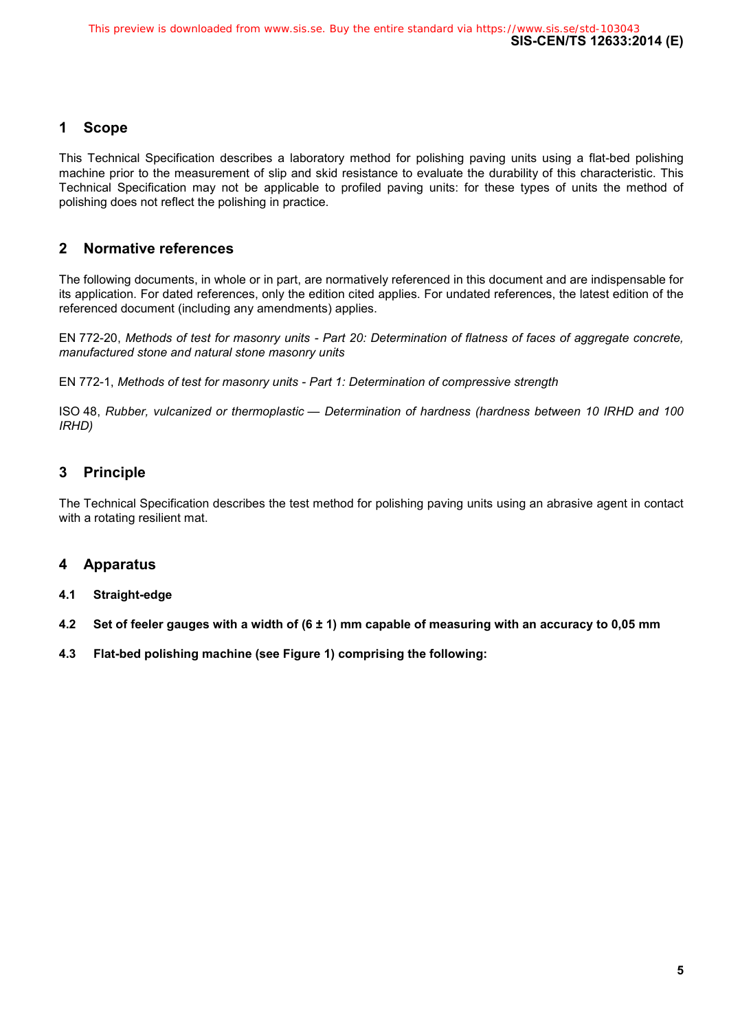### **1 Scope**

This Technical Specification describes a laboratory method for polishing paving units using a flat-bed polishing machine prior to the measurement of slip and skid resistance to evaluate the durability of this characteristic. This Technical Specification may not be applicable to profiled paving units: for these types of units the method of polishing does not reflect the polishing in practice.

### **2 Normative references**

The following documents, in whole or in part, are normatively referenced in this document and are indispensable for its application. For dated references, only the edition cited applies. For undated references, the latest edition of the referenced document (including any amendments) applies.

EN 772-20, *Methods of test for masonry units - Part 20: Determination of flatness of faces of aggregate concrete, manufactured stone and natural stone masonry units*

EN 772-1, *Methods of test for masonry units - Part 1: Determination of compressive strength*

ISO 48, *Rubber, vulcanized or thermoplastic — Determination of hardness (hardness between 10 IRHD and 100 IRHD)*

### **3 Principle**

The Technical Specification describes the test method for polishing paving units using an abrasive agent in contact with a rotating resilient mat.

### **4 Apparatus**

- **4.1 Straight-edge**
- **4.2 Set of feeler gauges with a width of (6 ± 1) mm capable of measuring with an accuracy to 0,05 mm**
- **4.3 Flat-bed polishing machine (see Figure 1) comprising the following:**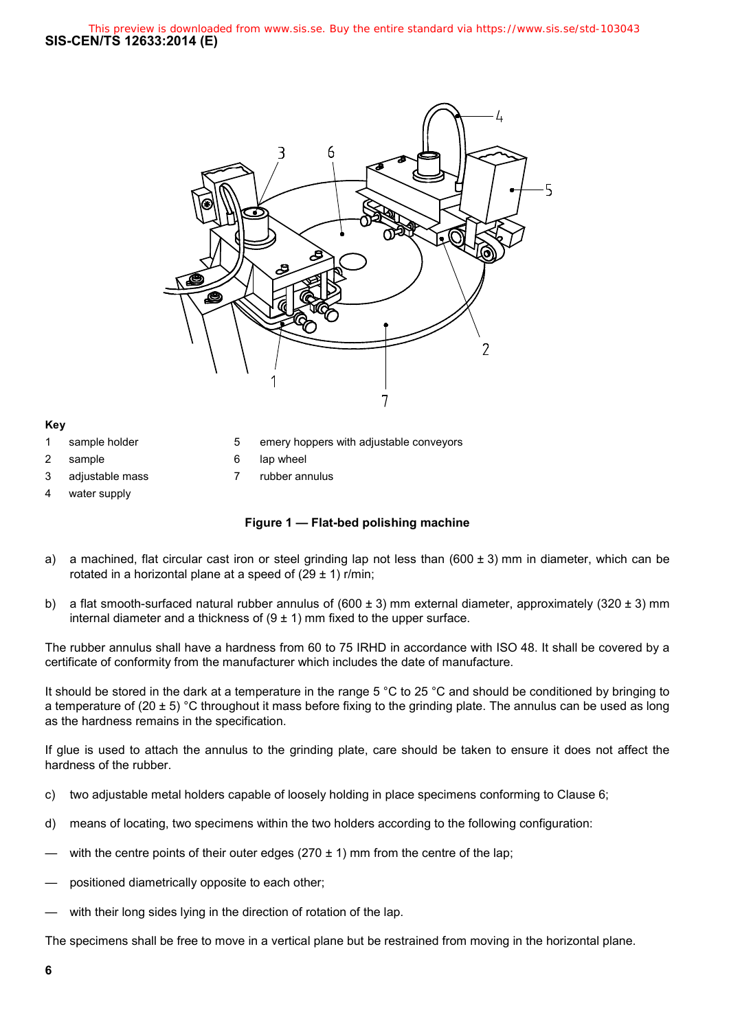

#### **Key**

- 
- 1 sample holder 5 emery hoppers with adjustable conveyors
- 2 sample 6 lap wheel
- 3 adjustable mass 7 rubber annulus
- 4 water supply

### **Figure 1 — Flat-bed polishing machine**

- a) a machined, flat circular cast iron or steel grinding lap not less than  $(600 \pm 3)$  mm in diameter, which can be rotated in a horizontal plane at a speed of  $(29 \pm 1)$  r/min;
- b) a flat smooth-surfaced natural rubber annulus of  $(600 \pm 3)$  mm external diameter, approximately  $(320 \pm 3)$  mm internal diameter and a thickness of  $(9 \pm 1)$  mm fixed to the upper surface.

The rubber annulus shall have a hardness from 60 to 75 IRHD in accordance with ISO 48. It shall be covered by a certificate of conformity from the manufacturer which includes the date of manufacture.

It should be stored in the dark at a temperature in the range 5 °C to 25 °C and should be conditioned by bringing to a temperature of (20  $\pm$  5) °C throughout it mass before fixing to the grinding plate. The annulus can be used as long as the hardness remains in the specification.

If glue is used to attach the annulus to the grinding plate, care should be taken to ensure it does not affect the hardness of the rubber.

- c) two adjustable metal holders capable of loosely holding in place specimens conforming to Clause 6;
- d) means of locating, two specimens within the two holders according to the following configuration:
- with the centre points of their outer edges (270  $\pm$  1) mm from the centre of the lap;
- positioned diametrically opposite to each other;
- with their long sides lying in the direction of rotation of the lap.

The specimens shall be free to move in a vertical plane but be restrained from moving in the horizontal plane.

**6**